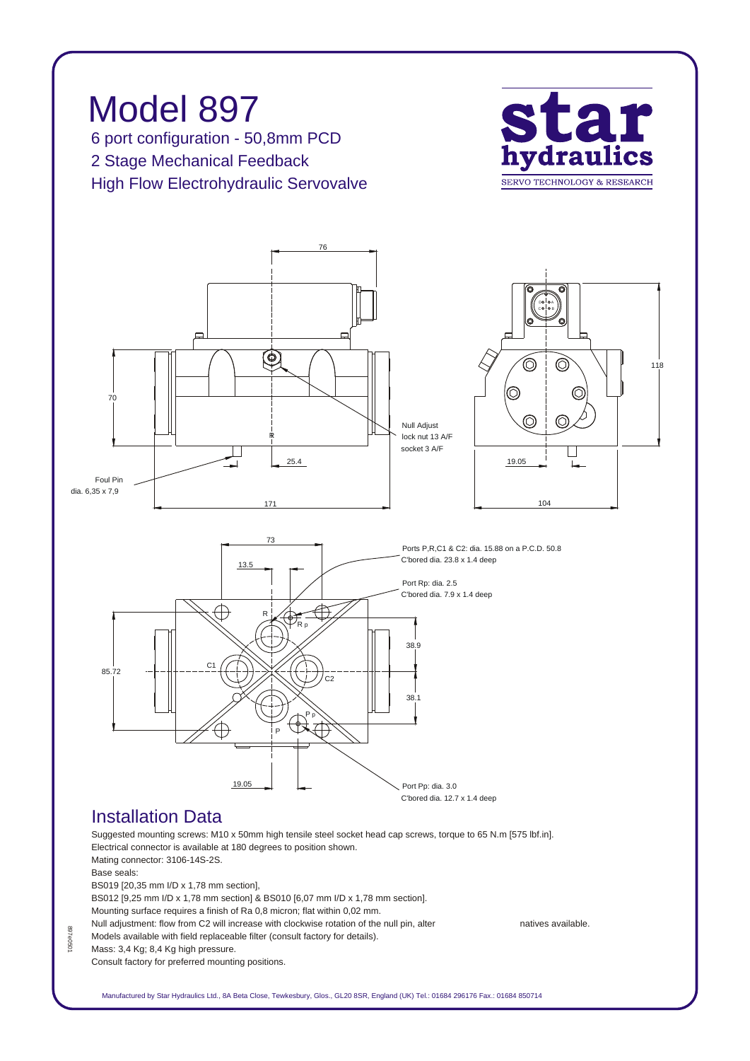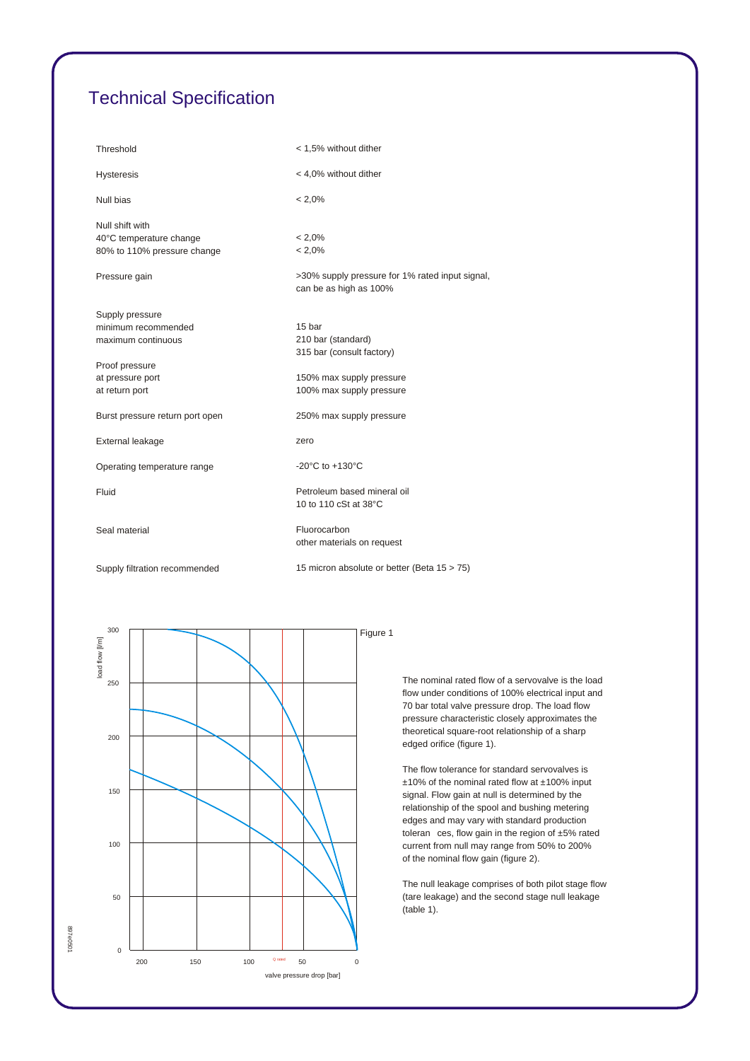## *Technical Specification*

| Threshold                                                                 | < 1,5% without dither                                                     |
|---------------------------------------------------------------------------|---------------------------------------------------------------------------|
| <b>Hysteresis</b>                                                         | < 4,0% without dither                                                     |
| Null bias                                                                 | $< 2.0\%$                                                                 |
| Null shift with<br>40°C temperature change<br>80% to 110% pressure change | $< 2.0\%$<br>$< 2.0\%$                                                    |
| Pressure gain                                                             | >30% supply pressure for 1% rated input signal,<br>can be as high as 100% |
| Supply pressure<br>minimum recommended<br>maximum continuous              | 15 bar<br>210 bar (standard)<br>315 bar (consult factory)                 |
| Proof pressure<br>at pressure port<br>at return port                      | 150% max supply pressure<br>100% max supply pressure                      |
| Burst pressure return port open                                           | 250% max supply pressure                                                  |
| External leakage                                                          | zero                                                                      |
| Operating temperature range                                               | -20 $^{\circ}$ C to +130 $^{\circ}$ C                                     |
| Fluid                                                                     | Petroleum based mineral oil<br>10 to 110 cSt at 38°C                      |
| Seal material                                                             | Fluorocarbon<br>other materials on request                                |
| Supply filtration recommended                                             | 15 micron absolute or better (Beta 15 > 75)                               |



*The nominal rated flow of a servovalve is the load flow under conditions of 100% electrical input and 70 bar total valve pressure drop. The load flow pressure characteristic closely approximates the theoretical square-root relationship of a sharp edged orifice (figure 1).*

*The flow tolerance for standard servovalves is ±10% of the nominal rated flow at ±100% input signal. Flow gain at null is determined by the relationship of the spool and bushing metering edges and may vary with standard production toleran ces, flow gain in the region of ±5% rated current from null may range from 50% to 200% of the nominal flow gain (figure 2).*

*The null leakage comprises of both pilot stage flow (tare leakage) and the second stage null leakage (table 1).*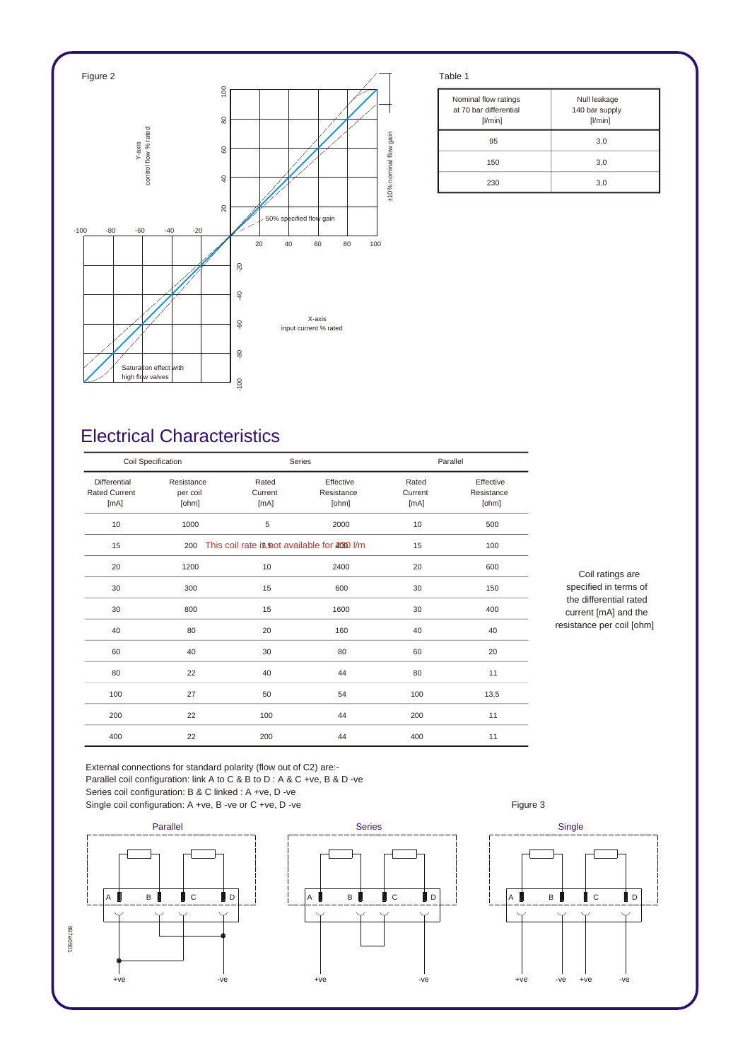

| Nominal flow ratings<br>at 70 bar differential<br>[1/min] | Null leakage<br>140 bar supply<br>[1/min] |
|-----------------------------------------------------------|-------------------------------------------|
| 95                                                        | 3,0                                       |
| 150                                                       | 3,0                                       |
| 230                                                       | 3,0                                       |

## *Electrical Characteristics*

| Coil Specification                                  |                                 |                                               | Series                           |                          | Parallel                         |  |
|-----------------------------------------------------|---------------------------------|-----------------------------------------------|----------------------------------|--------------------------|----------------------------------|--|
| <b>Differential</b><br><b>Rated Current</b><br>[mA] | Resistance<br>per coil<br>[ohm] | Rated<br>Current<br>[mA]                      | Effective<br>Resistance<br>[ohm] | Rated<br>Current<br>[mA] | Effective<br>Resistance<br>[ohm] |  |
| 10                                                  | 1000                            | 5                                             | 2000                             | 10                       | 500                              |  |
| 15                                                  | 200                             | This coil rate is, not available for 2000 l/m |                                  | 15                       | 100                              |  |
| 20                                                  | 1200                            | 10                                            | 2400                             | 20                       | 600                              |  |
| 30                                                  | 300                             | 15                                            | 600                              | 30                       | 150                              |  |
| 30                                                  | 800                             | 15                                            | 1600                             | 30                       | 400                              |  |
| 40                                                  | 80                              | 20                                            | 160                              | 40                       | 40                               |  |
| 60                                                  | 40                              | 30                                            | 80                               | 60                       | 20                               |  |
| 80                                                  | 22                              | 40                                            | 44                               | 80                       | 11                               |  |
| 100                                                 | 27                              | 50                                            | 54                               | 100                      | 13,5                             |  |
| 200                                                 | 22                              | 100                                           | 44                               | 200                      | 11                               |  |
| 400                                                 | 22                              | 200                                           | 44                               | 400                      | 11                               |  |

*Coil ratings are specified in terms of the differential rated current [mA] and the resistance per coil [ohm]*

*External connections for standard polarity (flow out of C2) are:- Parallel coil configuration: link A to C & B to D : A & C +ve, B & D -ve Series coil configuration: B & C linked : A +ve, D -ve* Single coil configuration: A +ve, B -ve or C +ve, D -ve **Figure 3** Figure 3